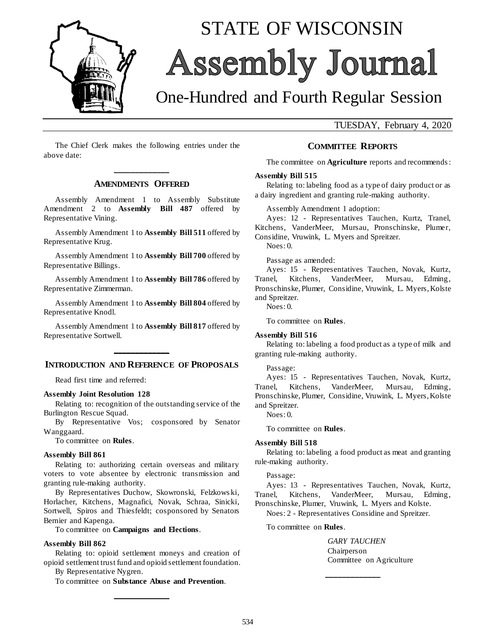

# STATE OF WISCONSIN Assembly Journal

# One-Hundred and Fourth Regular Session

TUESDAY, February 4, 2020

The Chief Clerk makes the following entries under the above date:

## **\_\_\_\_\_\_\_\_\_\_\_\_\_ AMENDMENTS OFFERED**

Assembly Amendment 1 to Assembly Substitute Amendment 2 to **Assembly Bill 487** offered by Representative Vining.

Assembly Amendment 1 to **Assembly Bill 511** offered by Representative Krug.

Assembly Amendment 1 to **Assembly Bill 700** offered by Representative Billings.

Assembly Amendment 1 to **Assembly Bill 786** offered by Representative Zimmerman.

Assembly Amendment 1 to **Assembly Bill 804** offered by Representative Knodl.

Assembly Amendment 1 to **Assembly Bill 817** offered by Representative Sortwell.

# **\_\_\_\_\_\_\_\_\_\_\_\_\_ INTRODUCTION AND REFERENCE OF PROPOSALS**

Read first time and referred:

#### **Assembly Joint Resolution 128**

Relating to: recognition of the outstanding service of the Burlington Rescue Squad.

By Representative Vos; cosponsored by Senator Wanggaard.

To committee on **Rules**.

#### **Assembly Bill 861**

Relating to: authorizing certain overseas and military voters to vote absentee by electronic transmission and granting rule-making authority.

By Representatives Duchow, Skowronski, Felzkows ki, Horlacher, Kitchens, Magnafici, Novak, Schraa, Sinicki, Sortwell, Spiros and Thiesfeldt; cosponsored by Senators Bernier and Kapenga.

To committee on **Campaigns and Elections**.

#### **Assembly Bill 862**

Relating to: opioid settlement moneys and creation of opioid settlement trust fund and opioid settlement foundation.

By Representative Nygren.

To committee on **Substance Abuse and Prevention**. **\_\_\_\_\_\_\_\_\_\_\_\_\_**

#### **COMMITTEE REPORTS**

The committee on **Agriculture** reports and recommends :

#### **Assembly Bill 515**

Relating to: labeling food as a type of dairy product or as a dairy ingredient and granting rule-making authority.

Assembly Amendment 1 adoption:

Ayes: 12 - Representatives Tauchen, Kurtz, Tranel, Kitchens, VanderMeer, Mursau, Pronschinske, Plumer,

Considine, Vruwink, L. Myers and Spreitzer. Noes: 0.

Passage as amended:

Ayes: 15 - Representatives Tauchen, Novak, Kurtz, Tranel, Kitchens, VanderMeer, Mursau, Edming, Pronschinske, Plumer, Considine, Vruwink, L. Myers, Kolste and Spreitzer.

 $N$ oes: 0.

To committee on **Rules**.

#### **Assembly Bill 516**

Relating to: labeling a food product as a type of milk and granting rule-making authority.

#### Passage:

Ayes: 15 - Representatives Tauchen, Novak, Kurtz, Tranel, Kitchens, VanderMeer, Mursau, Edming, Pronschinske, Plumer, Considine, Vruwink, L. Myers, Kolste and Spreitzer.

Noes: 0.

To committee on **Rules**.

#### **Assembly Bill 518**

Relating to: labeling a food product as meat and granting rule-making authority.

#### Passage:

Ayes: 13 - Representatives Tauchen, Novak, Kurtz, Tranel, Kitchens, VanderMeer, Mursau, Edming, Pronschinske, Plumer, Vruwink, L. Myers and Kolste.

**\_\_\_\_\_\_\_\_\_\_\_\_\_**

Noes: 2 - Representatives Considine and Spreitzer.

To committee on **Rules**.

*GARY TAUCHEN* Chairperson Committee on Agriculture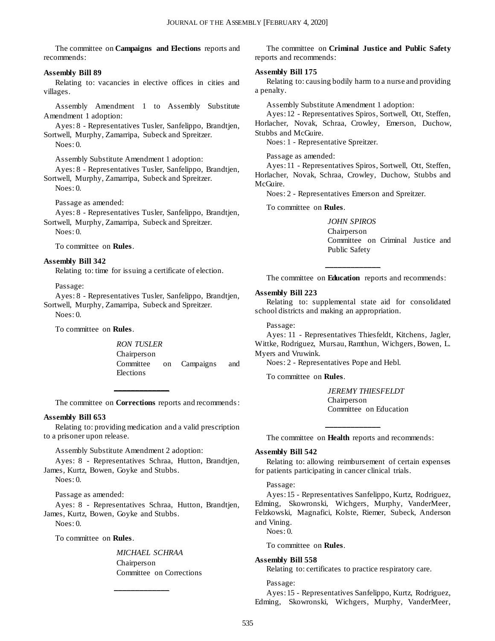The committee on **Campaigns and Elections** reports and recommends:

#### **Assembly Bill 89**

Relating to: vacancies in elective offices in cities and villages.

Assembly Amendment 1 to Assembly Substitute Amendment 1 adoption:

Ayes: 8 - Representatives Tusler, Sanfelippo, Brandtjen, Sortwell, Murphy, Zamarripa, Subeck and Spreitzer. Noes: 0.

Assembly Substitute Amendment 1 adoption: Ayes: 8 - Representatives Tusler, Sanfelippo, Brandtjen, Sortwell, Murphy, Zamarripa, Subeck and Spreitzer. Noes: 0.

Passage as amended:

Ayes: 8 - Representatives Tusler, Sanfelippo, Brandtjen, Sortwell, Murphy, Zamarripa, Subeck and Spreitzer.

 $N$ oes: 0.

To committee on **Rules**.

#### **Assembly Bill 342**

Relating to: time for issuing a certificate of election.

Passage:

Ayes: 8 - Representatives Tusler, Sanfelippo, Brandtjen, Sortwell, Murphy, Zamarripa, Subeck and Spreitzer.  $N$ oes: 0.

To committee on **Rules**.

*RON TUSLER* Chairperson Committee on Campaigns and Elections

The committee on **Corrections** reports and recommends :

**\_\_\_\_\_\_\_\_\_\_\_\_\_**

#### **Assembly Bill 653**

Relating to: providing medication and a valid prescription to a prisoner upon release.

Assembly Substitute Amendment 2 adoption:

Ayes: 8 - Representatives Schraa, Hutton, Brandtjen, James, Kurtz, Bowen, Goyke and Stubbs.

Noes: 0.

Passage as amended:

Ayes: 8 - Representatives Schraa, Hutton, Brandtjen, James, Kurtz, Bowen, Goyke and Stubbs.

**\_\_\_\_\_\_\_\_\_\_\_\_\_**

Noes: 0.

To committee on **Rules**.

*MICHAEL SCHRAA* Chairperson Committee on Corrections

The committee on **Criminal Justice and Public Safety** reports and recommends:

#### **Assembly Bill 175**

Relating to: causing bodily harm to a nurse and providing a penalty.

Assembly Substitute Amendment 1 adoption:

Ayes: 12 - Representatives Spiros, Sortwell, Ott, Steffen, Horlacher, Novak, Schraa, Crowley, Emerson, Duchow,

Stubbs and McGuire.

Noes: 1 - Representative Spreitzer.

Passage as amended:

Ayes: 11 - Representatives Spiros, Sortwell, Ott, Steffen, Horlacher, Novak, Schraa, Crowley, Duchow, Stubbs and McGuire.

Noes: 2 - Representatives Emerson and Spreitzer.

To committee on **Rules**.

*JOHN SPIROS* Chairperson Committee on Criminal Justice and Public Safety

**\_\_\_\_\_\_\_\_\_\_\_\_\_** The committee on **Education** reports and recommends:

#### **Assembly Bill 223**

Relating to: supplemental state aid for consolidated school districts and making an appropriation.

Passage:

Ayes: 11 - Representatives Thiesfeldt, Kitchens, Jagler, Wittke, Rodriguez, Mursau, Ramthun, Wichgers, Bowen, L. Myers and Vruwink.

Noes: 2 - Representatives Pope and Hebl.

To committee on **Rules**.

*JEREMY THIESFELDT* Chairperson Committee on Education

**\_\_\_\_\_\_\_\_\_\_\_\_\_** The committee on **Health** reports and recommends:

#### **Assembly Bill 542**

Relating to: allowing reimbursement of certain expenses for patients participating in cancer clinical trials.

#### Passage:

Ayes: 15 - Representatives Sanfelippo, Kurtz, Rodriguez, Edming, Skowronski, Wichgers, Murphy, VanderMeer, Felzkowski, Magnafici, Kolste, Riemer, Subeck, Anderson and Vining.

Noes: 0.

#### To committee on **Rules**.

### **Assembly Bill 558**

Relating to: certificates to practice respiratory care.

Passage:

Ayes: 15 - Representatives Sanfelippo, Kurtz, Rodriguez, Edming, Skowronski, Wichgers, Murphy, VanderMeer,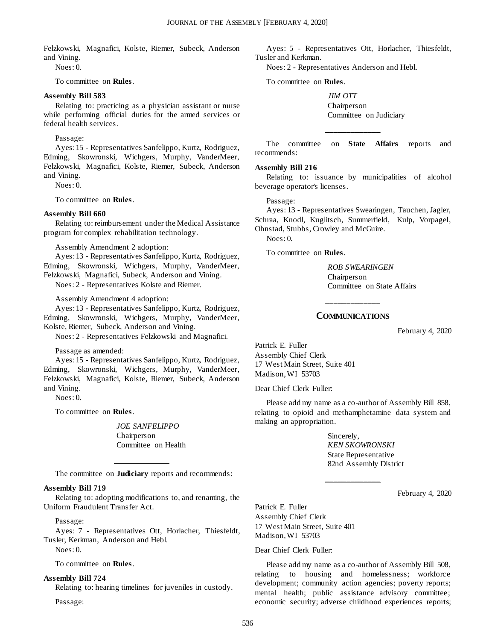Felzkowski, Magnafici, Kolste, Riemer, Subeck, Anderson and Vining.

Noes: 0.

To committee on **Rules**.

#### **Assembly Bill 583**

Relating to: practicing as a physician assistant or nurse while performing official duties for the armed services or federal health services.

#### Passage:

Ayes: 15 - Representatives Sanfelippo, Kurtz, Rodriguez, Edming, Skowronski, Wichgers, Murphy, VanderMeer, Felzkowski, Magnafici, Kolste, Riemer, Subeck, Anderson and Vining.

 $N$ oes: 0.

To committee on **Rules**.

#### **Assembly Bill 660**

Relating to: reimbursement under the Medical Assistance program for complex rehabilitation technology.

Assembly Amendment 2 adoption:

Ayes: 13 - Representatives Sanfelippo, Kurtz, Rodriguez, Edming, Skowronski, Wichgers, Murphy, VanderMeer, Felzkowski, Magnafici, Subeck, Anderson and Vining.

Noes: 2 - Representatives Kolste and Riemer.

Assembly Amendment 4 adoption:

Ayes: 13 - Representatives Sanfelippo, Kurtz, Rodriguez, Edming, Skowronski, Wichgers, Murphy, VanderMeer, Kolste, Riemer, Subeck, Anderson and Vining.

Noes: 2 - Representatives Felzkowski and Magnafici.

Passage as amended:

Ayes: 15 - Representatives Sanfelippo, Kurtz, Rodriguez, Edming, Skowronski, Wichgers, Murphy, VanderMeer, Felzkowski, Magnafici, Kolste, Riemer, Subeck, Anderson and Vining.

Noes: 0.

To committee on **Rules**.

*JOE SANFELIPPO* Chairperson Committee on Health

**\_\_\_\_\_\_\_\_\_\_\_\_\_** The committee on **Judiciary** reports and recommends:

#### **Assembly Bill 719**

Relating to: adopting modifications to, and renaming, the Uniform Fraudulent Transfer Act.

Passage:

Ayes: 7 - Representatives Ott, Horlacher, Thiesfeldt, Tusler, Kerkman, Anderson and Hebl.

Noes: 0.

To committee on **Rules**.

#### **Assembly Bill 724**

Relating to: hearing timelines for juveniles in custody.

Passage:

Ayes: 5 - Representatives Ott, Horlacher, Thiesfeldt, Tusler and Kerkman.

Noes: 2 - Representatives Anderson and Hebl.

To committee on **Rules**.

*JIM OTT* Chairperson Committee on Judiciary

The committee on **State Affairs** reports and recommends:

**\_\_\_\_\_\_\_\_\_\_\_\_\_**

#### **Assembly Bill 216**

Relating to: issuance by municipalities of alcohol beverage operator's licenses.

#### Passage:

Ayes: 13 - Representatives Swearingen, Tauchen, Jagler, Schraa, Knodl, Kuglitsch, Summerfield, Kulp, Vorpagel, Ohnstad, Stubbs, Crowley and McGuire.

Noes: 0.

To committee on **Rules**.

*ROB SWEARINGEN* Chairperson Committee on State Affairs

# **\_\_\_\_\_\_\_\_\_\_\_\_\_ COMMUNICATIONS**

February 4, 2020

Patrick E. Fuller Assembly Chief Clerk 17 West Main Street, Suite 401 Madison, WI 53703

Dear Chief Clerk Fuller:

Please add my name as a co-author of Assembly Bill 858, relating to opioid and methamphetamine data system and making an appropriation.

**\_\_\_\_\_\_\_\_\_\_\_\_\_**

Sincerely, *KEN SKOWRONSKI* State Representative 82nd Assembly District

February 4, 2020

Patrick E. Fuller Assembly Chief Clerk 17 West Main Street, Suite 401 Madison, WI 53703

#### Dear Chief Clerk Fuller:

Please add my name as a co-author of Assembly Bill 508, relating to housing and homelessness; workforce development; community action agencies; poverty reports; mental health; public assistance advisory committee; economic security; adverse childhood experiences reports;